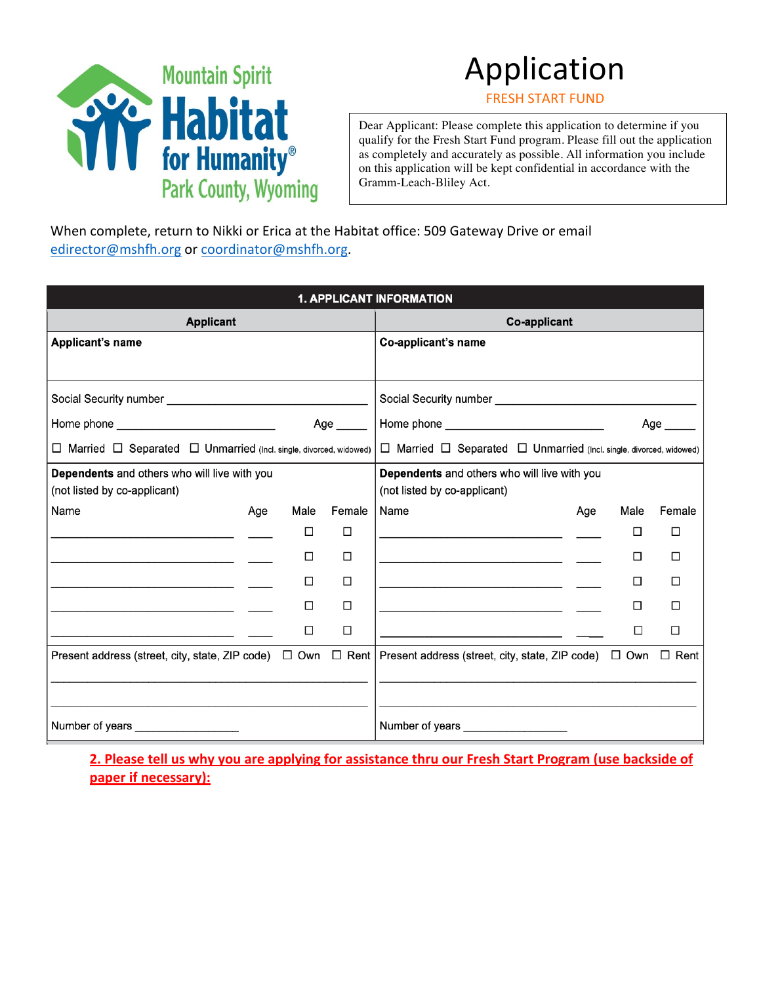

# Application

**FRESH START FUND** 

Dear Applicant: Please complete this application to determine if you qualify for the Fresh Start Fund program. Please fill out the application as completely and accurately as possible. All information you include on this application will be kept confidential in accordance with the Gramm-Leach-Bliley Act.

When complete, return to Nikki or Erica at the Habitat office: 509 Gateway Drive or email edirector@mshfh.org or coordinator@mshfh.org.

|                                                                                                                      |     |                                                                                    |                   | <b>1. APPLICANT INFORMATION</b>                                                                                                                 |     |        |           |
|----------------------------------------------------------------------------------------------------------------------|-----|------------------------------------------------------------------------------------|-------------------|-------------------------------------------------------------------------------------------------------------------------------------------------|-----|--------|-----------|
| <b>Applicant</b>                                                                                                     |     |                                                                                    |                   | Co-applicant                                                                                                                                    |     |        |           |
| <b>Applicant's name</b>                                                                                              |     |                                                                                    |                   | Co-applicant's name                                                                                                                             |     |        |           |
|                                                                                                                      |     |                                                                                    |                   |                                                                                                                                                 |     |        |           |
|                                                                                                                      |     |                                                                                    |                   |                                                                                                                                                 |     |        |           |
| Home phone __________________________________                                                                        |     |                                                                                    | Age $\_\_\_\_\_\$ |                                                                                                                                                 |     |        | Age _____ |
| $\Box$ Married $\Box$ Separated $\Box$ Unmarried (Incl. single, divorced, widowed)                                   |     | $\Box$ Married $\Box$ Separated $\Box$ Unmarried (Incl. single, divorced, widowed) |                   |                                                                                                                                                 |     |        |           |
| Dependents and others who will live with you                                                                         |     | Dependents and others who will live with you                                       |                   |                                                                                                                                                 |     |        |           |
| (not listed by co-applicant)                                                                                         |     |                                                                                    |                   | (not listed by co-applicant)                                                                                                                    |     |        |           |
| Name                                                                                                                 | Age | Male                                                                               | Female            | Name                                                                                                                                            | Age | Male   | Female    |
|                                                                                                                      |     | □                                                                                  | □                 |                                                                                                                                                 |     | □      | П         |
|                                                                                                                      |     | $\Box$                                                                             | $\Box$            |                                                                                                                                                 |     | П      | П         |
| <u> 1989 - Johann John Stone, markin amerikan bisa di sebagai persebut dan bisa di sebagai persebut dan persebut</u> |     | п                                                                                  | П                 |                                                                                                                                                 |     | П      | П         |
|                                                                                                                      |     | □                                                                                  | □                 | the contract of the contract of the contract of the contract of the contract of                                                                 |     | $\Box$ | П         |
|                                                                                                                      |     | □                                                                                  | □                 |                                                                                                                                                 |     | □      | $\Box$    |
|                                                                                                                      |     |                                                                                    |                   | Present address (street, city, state, ZIP code) $\Box$ Own $\Box$ Rent   Present address (street, city, state, ZIP code) $\Box$ Own $\Box$ Rent |     |        |           |
|                                                                                                                      |     |                                                                                    |                   |                                                                                                                                                 |     |        |           |
|                                                                                                                      |     |                                                                                    |                   |                                                                                                                                                 |     |        |           |
| Number of years                                                                                                      |     |                                                                                    |                   | Number of years Number                                                                                                                          |     |        |           |

**2. Please tell us why you are applying for assistance thru our Fresh Start Program (use backside of paper if necessary):**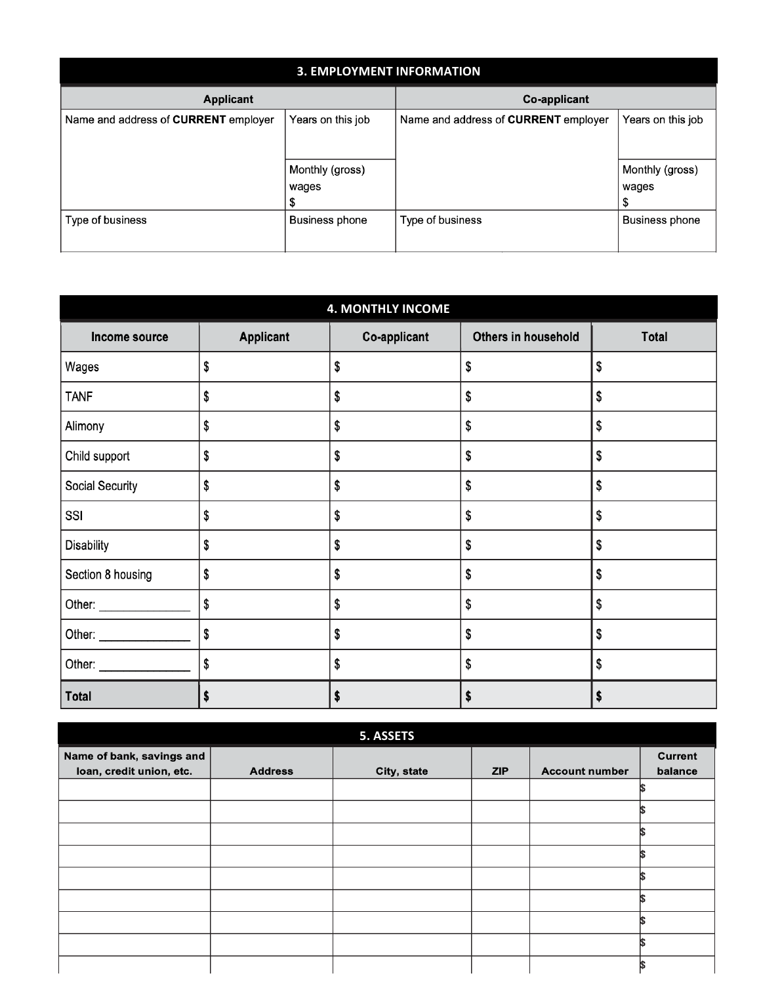| <b>3. EMPLOYMENT INFORMATION</b>     |                                |                                             |                          |  |  |
|--------------------------------------|--------------------------------|---------------------------------------------|--------------------------|--|--|
| Applicant                            |                                | Co-applicant                                |                          |  |  |
| Name and address of CURRENT employer | Years on this job              | Name and address of <b>CURRENT</b> employer | Years on this job        |  |  |
|                                      | Monthly (gross)<br>wages<br>\$ |                                             | Monthly (gross)<br>wages |  |  |
| Type of business                     | <b>Business phone</b>          | Type of business                            | <b>Business phone</b>    |  |  |

| <b>4. MONTHLY INCOME</b> |                  |              |                     |              |  |
|--------------------------|------------------|--------------|---------------------|--------------|--|
| Income source            | <b>Applicant</b> | Co-applicant | Others in household | <b>Total</b> |  |
| Wages                    | \$               | \$           | \$                  | \$           |  |
| <b>TANF</b>              | \$               | \$           | \$                  | \$           |  |
| Alimony                  | \$               | \$           | \$                  | \$           |  |
| Child support            | \$               | \$           | \$                  | \$           |  |
| Social Security          | \$               | \$           | \$                  | \$           |  |
| SSI                      | \$               | \$           | \$                  | \$           |  |
| Disability               | \$               | \$           | \$                  | \$           |  |
| Section 8 housing        | \$               | \$           | \$                  | \$           |  |
|                          | \$               | \$           | \$                  | \$           |  |
|                          | \$               | \$           | \$                  | \$           |  |
|                          | \$               | S            | \$                  | \$           |  |
| <b>Total</b>             | \$               | \$           | \$                  |              |  |

|                                                       |                | 5. ASSETS   |            |                       |                           |
|-------------------------------------------------------|----------------|-------------|------------|-----------------------|---------------------------|
| Name of bank, savings and<br>loan, credit union, etc. | <b>Address</b> | City, state | <b>ZIP</b> | <b>Account number</b> | <b>Current</b><br>balance |
|                                                       |                |             |            |                       |                           |
|                                                       |                |             |            |                       |                           |
|                                                       |                |             |            |                       |                           |
|                                                       |                |             |            |                       |                           |
|                                                       |                |             |            |                       |                           |
|                                                       |                |             |            |                       |                           |
|                                                       |                |             |            |                       |                           |
|                                                       |                |             |            |                       |                           |
|                                                       |                |             |            |                       |                           |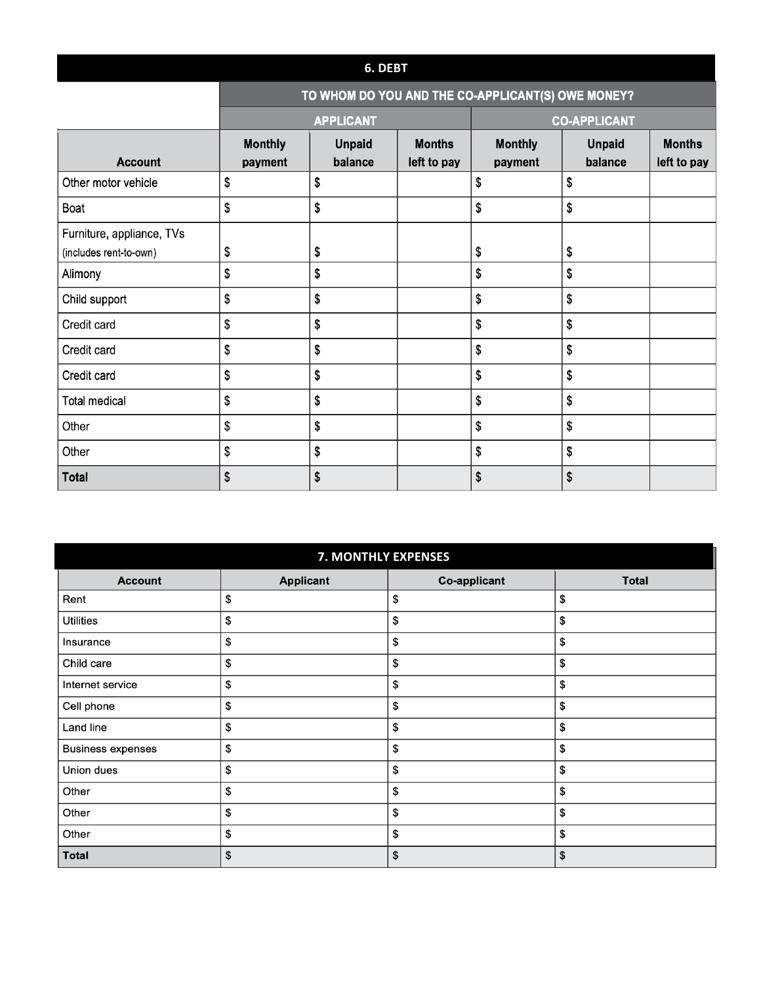#### **6. DEBT**

## TO WHOM DO YOU AND THE CO-APPLICANT(S) OWE MONEY?

|                                                     |                           | <b>APPLICANT</b>         | <b>CO-APPLICANT</b>          |                           |                          |                              |
|-----------------------------------------------------|---------------------------|--------------------------|------------------------------|---------------------------|--------------------------|------------------------------|
| <b>Account</b>                                      | <b>Monthly</b><br>payment | <b>Unpaid</b><br>balance | <b>Months</b><br>left to pay | <b>Monthly</b><br>payment | <b>Unpaid</b><br>balance | <b>Months</b><br>left to pay |
| Other motor vehicle                                 | \$                        | \$                       |                              | \$                        | \$                       |                              |
| Boat                                                | \$                        | \$                       |                              | \$                        | \$                       |                              |
| Furniture, appliance, TVs<br>(includes rent-to-own) | \$                        | \$                       |                              | \$                        | \$                       |                              |
| Alimony                                             | \$                        | \$                       |                              | \$                        | \$                       |                              |
| Child support                                       | \$                        | \$                       |                              | \$                        | \$                       |                              |
| Credit card                                         | \$                        | \$                       |                              | \$                        | \$                       |                              |
| Credit card                                         | \$                        | \$                       |                              | \$                        | \$                       |                              |
| Credit card                                         | \$                        | \$                       |                              | \$                        | \$                       |                              |
| <b>Total medical</b>                                | \$                        | \$                       |                              | \$                        | \$                       |                              |
| Other                                               | \$                        | \$                       |                              | \$                        | \$                       |                              |
| Other                                               | \$                        | \$                       |                              | \$                        | \$                       |                              |
| <b>Total</b>                                        | \$                        | \$                       |                              | \$                        | \$                       |                              |

| 7. MONTHLY EXPENSES      |                  |                     |              |  |  |
|--------------------------|------------------|---------------------|--------------|--|--|
| <b>Account</b>           | <b>Applicant</b> | <b>Co-applicant</b> | <b>Total</b> |  |  |
| Rent                     | \$               | \$                  | \$           |  |  |
| <b>Utilities</b>         | \$               | \$                  | \$           |  |  |
| Insurance                | \$               | \$                  | \$           |  |  |
| Child care               | \$               | \$                  | \$           |  |  |
| Internet service         | \$               | \$                  | \$           |  |  |
| Cell phone               | \$               | \$                  | \$           |  |  |
| Land line                | \$               | \$                  | \$           |  |  |
| <b>Business expenses</b> | \$               | \$                  | \$           |  |  |
| Union dues               | \$               | \$                  | \$           |  |  |
| Other                    | \$               | \$                  | \$           |  |  |
| Other                    | \$               | \$                  | \$           |  |  |
| Other                    | \$               | \$                  | \$           |  |  |
| <b>Total</b>             | \$               | \$                  | \$           |  |  |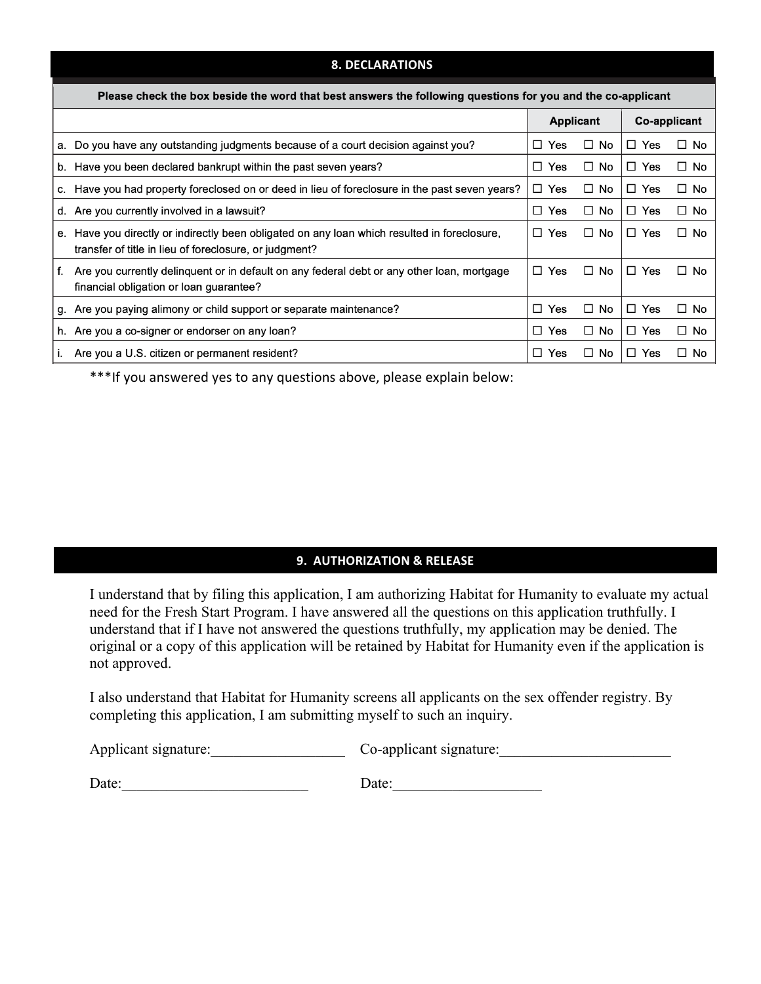#### **8. DECLARATIONS**

| Please check the box beside the word that best answers the following questions for you and the co-applicant |                                                                                                                                                     |               |                  |               |              |  |
|-------------------------------------------------------------------------------------------------------------|-----------------------------------------------------------------------------------------------------------------------------------------------------|---------------|------------------|---------------|--------------|--|
|                                                                                                             |                                                                                                                                                     |               | <b>Applicant</b> |               | Co-applicant |  |
|                                                                                                             | a. Do you have any outstanding judgments because of a court decision against you?                                                                   | Yes<br>$\Box$ | $\Box$ No        | $\Box$<br>Yes | $\Box$ No    |  |
|                                                                                                             | b. Have you been declared bankrupt within the past seven years?                                                                                     | Yes<br>П      | П.<br>No.        | П.<br>Yes     | $\Box$ No    |  |
|                                                                                                             | c. Have you had property foreclosed on or deed in lieu of foreclosure in the past seven years?                                                      | $\Box$ Yes    | No.<br>$\Box$    | Yes<br>$\Box$ | $\Box$ No    |  |
|                                                                                                             | d. Are you currently involved in a lawsuit?                                                                                                         | $\Box$ Yes    | $\Box$ No        | $\Box$<br>Yes | $\Box$ No    |  |
| е.                                                                                                          | Have you directly or indirectly been obligated on any loan which resulted in foreclosure,<br>transfer of title in lieu of foreclosure, or judgment? | Yes<br>□      | $\Box$ No        | $\Box$<br>Yes | $\Box$ No    |  |
| f.                                                                                                          | Are you currently delinguent or in default on any federal debt or any other loan, mortgage<br>financial obligation or loan guarantee?               | $\Box$ Yes    | $\Box$ No        | n.<br>Yes     | $\Box$ No    |  |
| g.                                                                                                          | Are you paying alimony or child support or separate maintenance?                                                                                    | П<br>Yes      | $\Box$ No        | $\Box$<br>Yes | $\Box$ No    |  |
|                                                                                                             | h. Are you a co-signer or endorser on any loan?                                                                                                     | Yes<br>□      | $\Box$ No        | Yes<br>$\Box$ | $\Box$ No    |  |
|                                                                                                             | Are you a U.S. citizen or permanent resident?                                                                                                       | п<br>Yes      | $\Box$ No        | Yes<br>□      | $\Box$ No    |  |

\*\*\*If you answered yes to any questions above, please explain below:

#### **9. AUTHORIZATION & RELEASE**

I understand that by filing this application, I am authorizing Habitat for Humanity to evaluate my actual need for the Fresh Start Program. I have answered all the questions on this application truthfully. I understand that if I have not answered the questions truthfully, my application may be denied. The original or a copy of this application will be retained by Habitat for Humanity even if the application is not approved.

I also understand that Habitat for Humanity screens all applicants on the sex offender registry. By completing this application, I am submitting myself to such an inquiry.

Applicant signature: Co-applicant signature:

Date:\_\_\_\_\_\_\_\_\_\_\_\_\_\_\_\_\_\_\_\_\_\_\_\_\_ Date:\_\_\_\_\_\_\_\_\_\_\_\_\_\_\_\_\_\_\_\_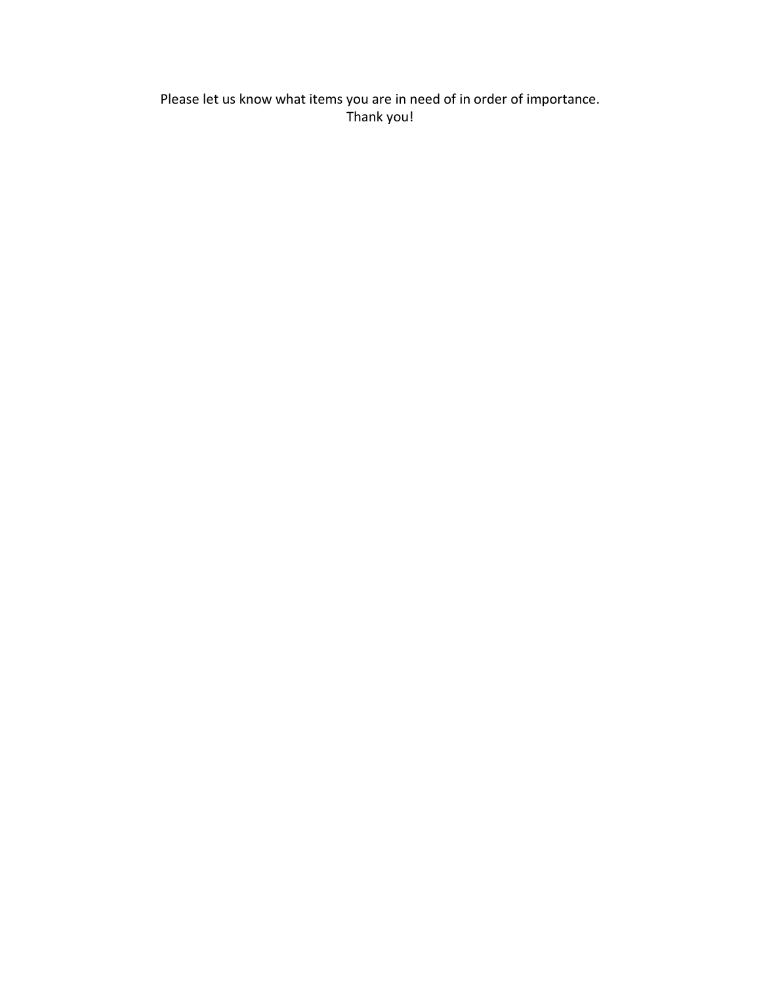Please let us know what items you are in need of in order of importance. Thank you!